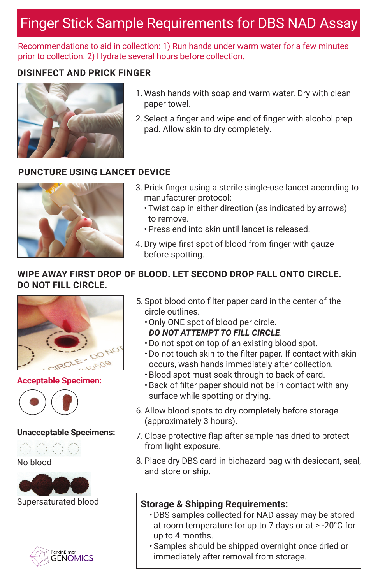# Finger Stick Sample Requirements for DBS NAD Assay

Recommendations to aid in collection: 1) Run hands under warm water for a few minutes prior to collection. 2) Hydrate several hours before collection.

## **DISINFECT AND PRICK FINGER**



- 1. Wash hands with soap and warm water. Dry with clean paper towel.
- 2. Select a finger and wipe end of finger with alcohol prep pad. Allow skin to dry completely.

## **PUNCTURE USING LANCET DEVICE**



- 3. Prick finger using a sterile single-use lancet according to manufacturer protocol:
	- Twist cap in either direction (as indicated by arrows) to remove.
	- Press end into skin until lancet is released.
- 4. Dry wipe first spot of blood from finger with gauze before spotting.

### **WIPE AWAY FIRST DROP OF BLOOD. LET SECOND DROP FALL ONTO CIRCLE. DO NOT FILL CIRCLE.**



#### **Acceptable Specimen:**



#### **Unacceptable Specimens:**





Supersaturated blood



- 5. Spot blood onto filter paper card in the center of the circle outlines.
	- •Only ONE spot of blood per circle. *DO NOT ATTEMPT TO FILL CIRCLE*.
	- •Do not spot on top of an existing blood spot.
	- Do not touch skin to the filter paper. If contact with skin occurs, wash hands immediately after collection.
	- Blood spot must soak through to back of card.
	- Back of filter paper should not be in contact with any surface while spotting or drying.
- 6. Allow blood spots to dry completely before storage (approximately 3 hours).
- 7. Close protective flap after sample has dried to protect from light exposure.
- 8. Place dry DBS card in biohazard bag with desiccant, seal, and store or ship.

## **Storage & Shipping Requirements:**

- •DBS samples collected for NAD assay may be stored at room temperature for up to 7 days or at ≥ -20°C for up to 4 months.
- Samples should be shipped overnight once dried or immediately after removal from storage.